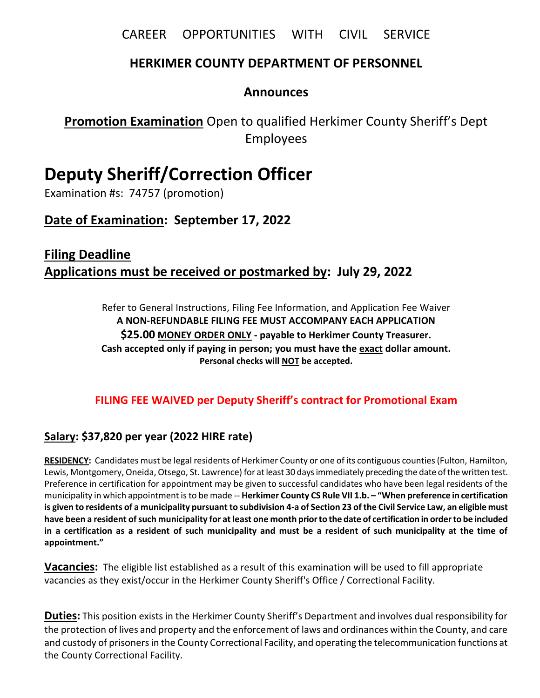CAREER OPPORTUNITIES WITH CIVIL SERVICE

# **HERKIMER COUNTY DEPARTMENT OF PERSONNEL**

# **Announces**

**Promotion Examination** Open to qualified Herkimer County Sheriff's Dept Employees

# **Deputy Sheriff/Correction Officer**

Examination #s: 74757 (promotion)

# **Date of Examination: September 17, 2022**

# **Filing Deadline Applications must be received or postmarked by: July 29, 2022**

Refer to General Instructions, Filing Fee Information, and Application Fee Waiver **A NON-REFUNDABLE FILING FEE MUST ACCOMPANY EACH APPLICATION \$25.00 MONEY ORDER ONLY - payable to Herkimer County Treasurer. Cash accepted only if paying in person; you must have the exact dollar amount. Personal checks will NOT be accepted.**

# **FILING FEE WAIVED per Deputy Sheriff's contract for Promotional Exam**

# **Salary: \$37,820 per year (2022 HIRE rate)**

**RESIDENCY:** Candidates must be legal residents of Herkimer County or one of its contiguous counties (Fulton, Hamilton, Lewis, Montgomery, Oneida, Otsego, St. Lawrence) for at least 30 days immediately preceding the date of the written test. Preference in certification for appointment may be given to successful candidates who have been legal residents of the municipality in which appointment is to be made -- **Herkimer County CS Rule VII 1.b. – "When preference in certification is given to residents of a municipality pursuant to subdivision 4-a of Section 23 of the Civil Service Law, an eligible must have been a resident of such municipality for at least one month prior to the date of certification in order to be included in a certification as a resident of such municipality and must be a resident of such municipality at the time of appointment."**

**Vacancies:** The eligible list established as a result of this examination will be used to fill appropriate vacancies as they exist/occur in the Herkimer County Sheriff's Office / Correctional Facility.

**Duties:** This position exists in the Herkimer County Sheriff's Department and involves dual responsibility for the protection of lives and property and the enforcement of laws and ordinances within the County, and care and custody of prisoners in the County Correctional Facility, and operating the telecommunication functions at the County Correctional Facility.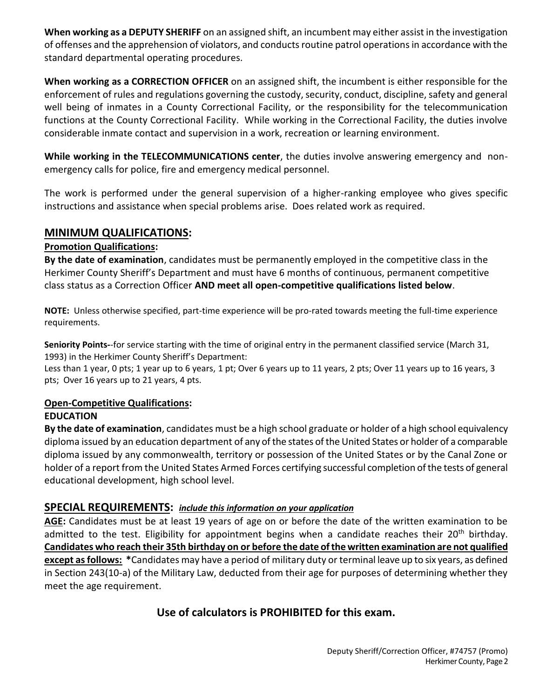**When working as a DEPUTY SHERIFF** on an assigned shift, an incumbent may either assist in the investigation of offenses and the apprehension of violators, and conducts routine patrol operations in accordance with the standard departmental operating procedures.

**When working as a CORRECTION OFFICER** on an assigned shift, the incumbent is either responsible for the enforcement of rules and regulations governing the custody, security, conduct, discipline, safety and general well being of inmates in a County Correctional Facility, or the responsibility for the telecommunication functions at the County Correctional Facility. While working in the Correctional Facility, the duties involve considerable inmate contact and supervision in a work, recreation or learning environment.

**While working in the TELECOMMUNICATIONS center**, the duties involve answering emergency and nonemergency calls for police, fire and emergency medical personnel.

The work is performed under the general supervision of a higher-ranking employee who gives specific instructions and assistance when special problems arise. Does related work as required.

### **MINIMUM QUALIFICATIONS:**

#### **Promotion Qualifications:**

**By the date of examination**, candidates must be permanently employed in the competitive class in the Herkimer County Sheriff's Department and must have 6 months of continuous, permanent competitive class status as a Correction Officer **AND meet all open-competitive qualifications listed below**.

**NOTE:** Unless otherwise specified, part-time experience will be pro-rated towards meeting the full-time experience requirements.

**Seniority Points-**-for service starting with the time of original entry in the permanent classified service (March 31, 1993) in the Herkimer County Sheriff's Department:

Less than 1 year, 0 pts; 1 year up to 6 years, 1 pt; Over 6 years up to 11 years, 2 pts; Over 11 years up to 16 years, 3 pts; Over 16 years up to 21 years, 4 pts.

#### **Open-Competitive Qualifications:**

### **EDUCATION**

**By the date of examination**, candidates must be a high school graduate or holder of a high school equivalency diploma issued by an education department of any of the states of the United States or holder of a comparable diploma issued by any commonwealth, territory or possession of the United States or by the Canal Zone or holder of a report from the United States Armed Forces certifying successful completion of the tests of general educational development, high school level.

### **SPECIAL REQUIREMENTS:** *include this information on your application*

**AGE:** Candidates must be at least 19 years of age on or before the date of the written examination to be admitted to the test. Eligibility for appointment begins when a candidate reaches their  $20<sup>th</sup>$  birthday. **Candidates who reach their 35th birthday on or before the date of the written examination are not qualified except as follows: \***Candidates may have a period of military duty or terminal leave up to six years, as defined in Section 243(10-a) of the Military Law, deducted from their age for purposes of determining whether they meet the age requirement.

# **Use of calculators is PROHIBITED for this exam.**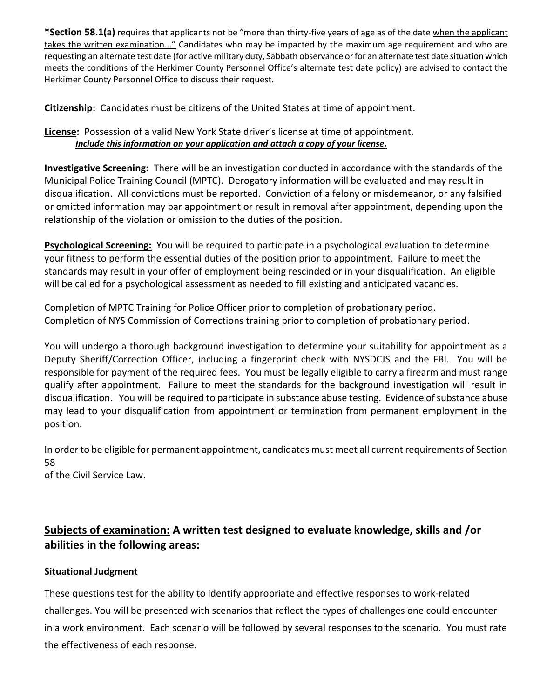**\*Section 58.1(a)** requires that applicants not be "more than thirty-five years of age as of the date when the applicant takes the written examination..." Candidates who may be impacted by the maximum age requirement and who are requesting an alternate test date (for active military duty, Sabbath observance or for an alternate test date situation which meets the conditions of the Herkimer County Personnel Office's alternate test date policy) are advised to contact the Herkimer County Personnel Office to discuss their request.

**Citizenship:** Candidates must be citizens of the United States at time of appointment.

### **License:** Possession of a valid New York State driver's license at time of appointment.  *Include this information on your application and attach a copy of your license.*

**Investigative Screening:** There will be an investigation conducted in accordance with the standards of the Municipal Police Training Council (MPTC). Derogatory information will be evaluated and may result in disqualification. All convictions must be reported. Conviction of a felony or misdemeanor, or any falsified or omitted information may bar appointment or result in removal after appointment, depending upon the relationship of the violation or omission to the duties of the position.

**Psychological Screening:** You will be required to participate in a psychological evaluation to determine your fitness to perform the essential duties of the position prior to appointment. Failure to meet the standards may result in your offer of employment being rescinded or in your disqualification. An eligible will be called for a psychological assessment as needed to fill existing and anticipated vacancies.

Completion of MPTC Training for Police Officer prior to completion of probationary period. Completion of NYS Commission of Corrections training prior to completion of probationary period.

You will undergo a thorough background investigation to determine your suitability for appointment as a Deputy Sheriff/Correction Officer, including a fingerprint check with NYSDCJS and the FBI. You will be responsible for payment of the required fees. You must be legally eligible to carry a firearm and must range qualify after appointment. Failure to meet the standards for the background investigation will result in disqualification. You will be required to participate in substance abuse testing. Evidence of substance abuse may lead to your disqualification from appointment or termination from permanent employment in the position.

In order to be eligible for permanent appointment, candidates must meet all current requirements of Section 58

of the Civil Service Law.

# **Subjects of examination: A written test designed to evaluate knowledge, skills and /or abilities in the following areas:**

### **Situational Judgment**

These questions test for the ability to identify appropriate and effective responses to work-related challenges. You will be presented with scenarios that reflect the types of challenges one could encounter in a work environment. Each scenario will be followed by several responses to the scenario. You must rate the effectiveness of each response.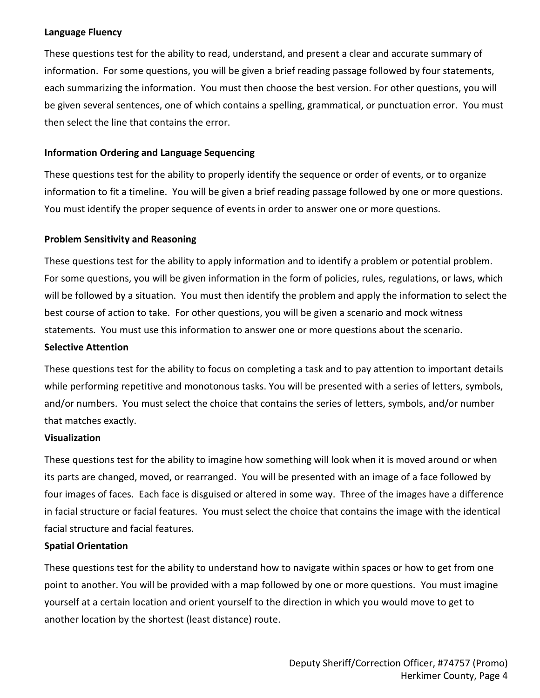#### **Language Fluency**

These questions test for the ability to read, understand, and present a clear and accurate summary of information. For some questions, you will be given a brief reading passage followed by four statements, each summarizing the information. You must then choose the best version. For other questions, you will be given several sentences, one of which contains a spelling, grammatical, or punctuation error. You must then select the line that contains the error.

#### **Information Ordering and Language Sequencing**

These questions test for the ability to properly identify the sequence or order of events, or to organize information to fit a timeline. You will be given a brief reading passage followed by one or more questions. You must identify the proper sequence of events in order to answer one or more questions.

#### **Problem Sensitivity and Reasoning**

These questions test for the ability to apply information and to identify a problem or potential problem. For some questions, you will be given information in the form of policies, rules, regulations, or laws, which will be followed by a situation. You must then identify the problem and apply the information to select the best course of action to take. For other questions, you will be given a scenario and mock witness statements. You must use this information to answer one or more questions about the scenario.

#### **Selective Attention**

These questions test for the ability to focus on completing a task and to pay attention to important details while performing repetitive and monotonous tasks. You will be presented with a series of letters, symbols, and/or numbers. You must select the choice that contains the series of letters, symbols, and/or number that matches exactly.

#### **Visualization**

These questions test for the ability to imagine how something will look when it is moved around or when its parts are changed, moved, or rearranged. You will be presented with an image of a face followed by four images of faces. Each face is disguised or altered in some way. Three of the images have a difference in facial structure or facial features. You must select the choice that contains the image with the identical facial structure and facial features.

#### **Spatial Orientation**

These questions test for the ability to understand how to navigate within spaces or how to get from one point to another. You will be provided with a map followed by one or more questions. You must imagine yourself at a certain location and orient yourself to the direction in which you would move to get to another location by the shortest (least distance) route.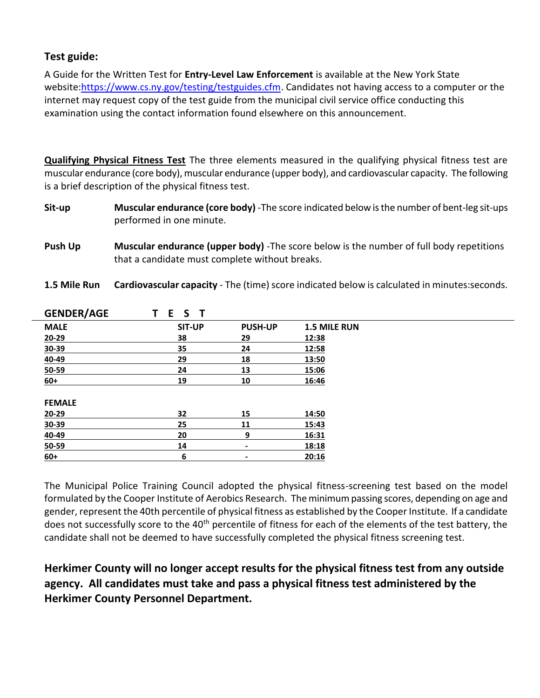### **Test guide:**

A Guide for the Written Test for **Entry-Level Law Enforcement** is available at the New York State website[:https://www.cs.ny.gov/testing/testguides.cfm.](https://www.cs.ny.gov/testing/testguides.cfm) Candidates not having access to a computer or the internet may request copy of the test guide from the municipal civil service office conducting this examination using the contact information found elsewhere on this announcement.

**Qualifying Physical Fitness Test** The three elements measured in the qualifying physical fitness test are muscular endurance (core body), muscular endurance (upper body), and cardiovascular capacity. The following is a brief description of the physical fitness test.

**Sit-up Muscular endurance (core body)** -The score indicated below is the number of bent-leg sit-ups performed in one minute.

**Push Up Muscular endurance (upper body)** -The score below is the number of full body repetitions that a candidate must complete without breaks.

**1.5 Mile Run Cardiovascular capacity** - The (time) score indicated below is calculated in minutes:seconds.

| <b>GENDER/AGE</b> | S<br>E.<br>т  |                |              |
|-------------------|---------------|----------------|--------------|
| <b>MALE</b>       | <b>SIT-UP</b> | <b>PUSH-UP</b> | 1.5 MILE RUN |
| 20-29             | 38            | 29             | 12:38        |
| 30-39             | 35            | 24             | 12:58        |
| 40-49             | 29            | 18             | 13:50        |
| 50-59             | 24            | 13             | 15:06        |
| $60+$             | 19            | 10             | 16:46        |
| <b>FEMALE</b>     |               |                |              |
| 20-29             | 32            | 15             | 14:50        |
| 30-39             | 25            | 11             | 15:43        |
| 40-49             | 20            | 9              | 16:31        |
| 50-59             | 14            | ٠              | 18:18        |
| $60+$             | 6             | $\blacksquare$ | 20:16        |
|                   |               |                |              |

The Municipal Police Training Council adopted the physical fitness-screening test based on the model formulated by the Cooper Institute of Aerobics Research. The minimum passing scores, depending on age and gender, represent the 40th percentile of physical fitness as established by the Cooper Institute. If a candidate does not successfully score to the 40<sup>th</sup> percentile of fitness for each of the elements of the test battery, the candidate shall not be deemed to have successfully completed the physical fitness screening test.

# **Herkimer County will no longer accept results for the physical fitness test from any outside agency. All candidates must take and pass a physical fitness test administered by the Herkimer County Personnel Department.**